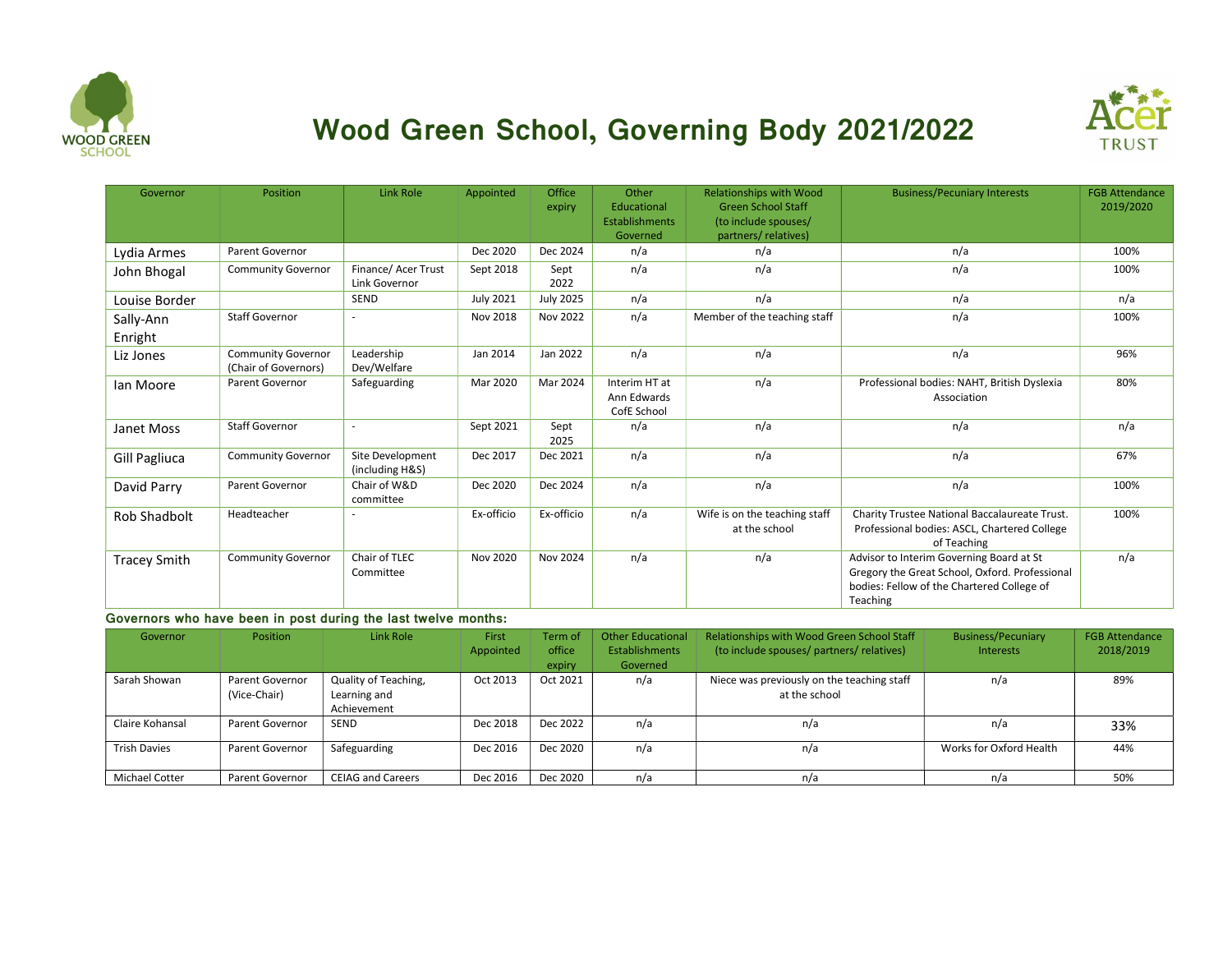

## Wood Green School, Governing Body 2021/2022



| Governor            | Position                                          | Link Role                           | Appointed        | Office<br>expiry | Other<br>Educational                        | <b>Relationships with Wood</b><br><b>Green School Staff</b> | <b>Business/Pecuniary Interests</b>                                                                                                                  | <b>FGB Attendance</b><br>2019/2020 |
|---------------------|---------------------------------------------------|-------------------------------------|------------------|------------------|---------------------------------------------|-------------------------------------------------------------|------------------------------------------------------------------------------------------------------------------------------------------------------|------------------------------------|
|                     |                                                   |                                     |                  |                  | <b>Establishments</b><br>Governed           | (to include spouses/<br>partners/relatives)                 |                                                                                                                                                      |                                    |
| Lydia Armes         | Parent Governor                                   |                                     | Dec 2020         | Dec 2024         | n/a                                         | n/a                                                         | n/a                                                                                                                                                  | 100%                               |
|                     |                                                   | Finance/ Acer Trust                 |                  | Sept             | n/a                                         | n/a                                                         | n/a                                                                                                                                                  | 100%                               |
| John Bhogal         | <b>Community Governor</b>                         | Link Governor                       | Sept 2018        | 2022             |                                             |                                                             |                                                                                                                                                      |                                    |
| Louise Border       |                                                   | <b>SEND</b>                         | <b>July 2021</b> | <b>July 2025</b> | n/a                                         | n/a                                                         | n/a                                                                                                                                                  | n/a                                |
| Sally-Ann           | <b>Staff Governor</b>                             | $\sim$                              | Nov 2018         | Nov 2022         | n/a                                         | Member of the teaching staff                                | n/a                                                                                                                                                  | 100%                               |
| Enright             |                                                   |                                     |                  |                  |                                             |                                                             |                                                                                                                                                      |                                    |
| Liz Jones           | <b>Community Governor</b><br>(Chair of Governors) | Leadership<br>Dev/Welfare           | Jan 2014         | Jan 2022         | n/a                                         | n/a                                                         | n/a                                                                                                                                                  | 96%                                |
| Ian Moore           | Parent Governor                                   | Safeguarding                        | Mar 2020         | Mar 2024         | Interim HT at<br>Ann Edwards<br>CofE School | n/a                                                         | Professional bodies: NAHT, British Dyslexia<br>Association                                                                                           | 80%                                |
| Janet Moss          | <b>Staff Governor</b>                             | $\sim$                              | Sept 2021        | Sept<br>2025     | n/a                                         | n/a                                                         | n/a                                                                                                                                                  | n/a                                |
| Gill Pagliuca       | <b>Community Governor</b>                         | Site Development<br>(including H&S) | Dec 2017         | Dec 2021         | n/a                                         | n/a                                                         | n/a                                                                                                                                                  | 67%                                |
| David Parry         | Parent Governor                                   | Chair of W&D<br>committee           | Dec 2020         | Dec 2024         | n/a                                         | n/a                                                         | n/a                                                                                                                                                  | 100%                               |
| Rob Shadbolt        | Headteacher                                       |                                     | Ex-officio       | Ex-officio       | n/a                                         | Wife is on the teaching staff<br>at the school              | Charity Trustee National Baccalaureate Trust.<br>Professional bodies: ASCL, Chartered College<br>of Teaching                                         | 100%                               |
| <b>Tracey Smith</b> | Community Governor                                | Chair of TLEC<br>Committee          | Nov 2020         | <b>Nov 2024</b>  | n/a                                         | n/a                                                         | Advisor to Interim Governing Board at St<br>Gregory the Great School, Oxford. Professional<br>bodies: Fellow of the Chartered College of<br>Teaching | n/a                                |

## Governors who have been in post during the last twelve months:

| Governor              | <b>Position</b>        | Link Role                | First     | Term of  | Other Educational     | Relationships with Wood Green School Staff | <b>Business/Pecuniary</b> | <b>FGB Attendance</b> |
|-----------------------|------------------------|--------------------------|-----------|----------|-----------------------|--------------------------------------------|---------------------------|-----------------------|
|                       |                        |                          | Appointed | office   | <b>Establishments</b> | (to include spouses/ partners/ relatives)  | <b>Interests</b>          | 2018/2019             |
|                       |                        |                          |           | expiry   | Governed              |                                            |                           |                       |
| Sarah Showan          | Parent Governor        | Quality of Teaching,     | Oct 2013  | Oct 2021 | n/a                   | Niece was previously on the teaching staff | n/a                       | 89%                   |
|                       | (Vice-Chair)           | Learning and             |           |          |                       | at the school                              |                           |                       |
|                       |                        | Achievement              |           |          |                       |                                            |                           |                       |
| Claire Kohansal       | Parent Governor        | <b>SEND</b>              | Dec 2018  | Dec 2022 | n/a                   | n/a                                        | n/a                       | 33%                   |
| <b>Trish Davies</b>   | Parent Governor        | Safeguarding             | Dec 2016  | Dec 2020 | n/a                   | n/a                                        | Works for Oxford Health   | 44%                   |
| <b>Michael Cotter</b> | <b>Parent Governor</b> | <b>CEIAG and Careers</b> | Dec 2016  | Dec 2020 | n/a                   | n/a                                        | n/a                       | 50%                   |